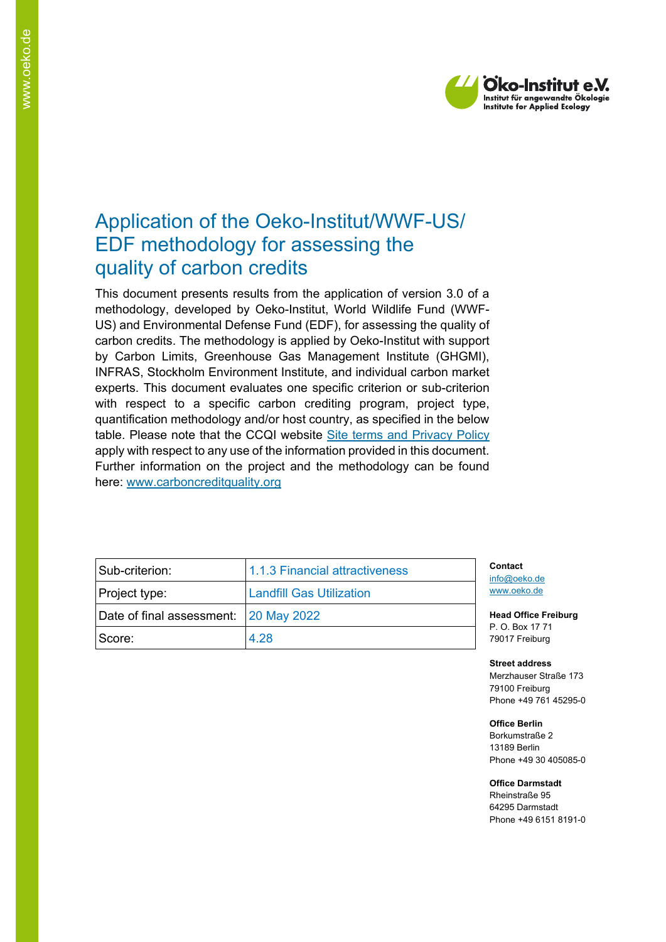

# Application of the Oeko-Institut/WWF-US/ EDF methodology for assessing the quality of carbon credits

This document presents results from the application of version 3.0 of a methodology, developed by Oeko-Institut, World Wildlife Fund (WWF-US) and Environmental Defense Fund (EDF), for assessing the quality of carbon credits. The methodology is applied by Oeko-Institut with support by Carbon Limits, Greenhouse Gas Management Institute (GHGMI), INFRAS, Stockholm Environment Institute, and individual carbon market experts. This document evaluates one specific criterion or sub-criterion with respect to a specific carbon crediting program, project type, quantification methodology and/or host country, as specified in the below table. Please note that the CCQI website [Site terms and Privacy Policy](https://carboncreditquality.org/terms.html) apply with respect to any use of the information provided in this document. Further information on the project and the methodology can be found here: [www.carboncreditquality.org](http://www.carboncreditquality.org/)

| Sub-criterion: l                      | 1.1.3 Financial attractiveness  | Contact<br>info@oeko.de                   |  |
|---------------------------------------|---------------------------------|-------------------------------------------|--|
| Project type:                         | <b>Landfill Gas Utilization</b> | www.oeko.de                               |  |
| Date of final assessment: 20 May 2022 |                                 | <b>Head Office Fre</b><br>P. O. Box 17 71 |  |
| Score:                                | 4.28                            | 79017 Freiburg                            |  |

 $H$ **iburg** 

**Street address** Merzhauser Straße 173

79100 Freiburg Phone +49 761 45295-0

**Office Berlin**

Borkumstraße 2 13189 Berlin Phone +49 30 405085-0

**Office Darmstadt**

Rheinstraße 95 64295 Darmstadt Phone +49 6151 8191-0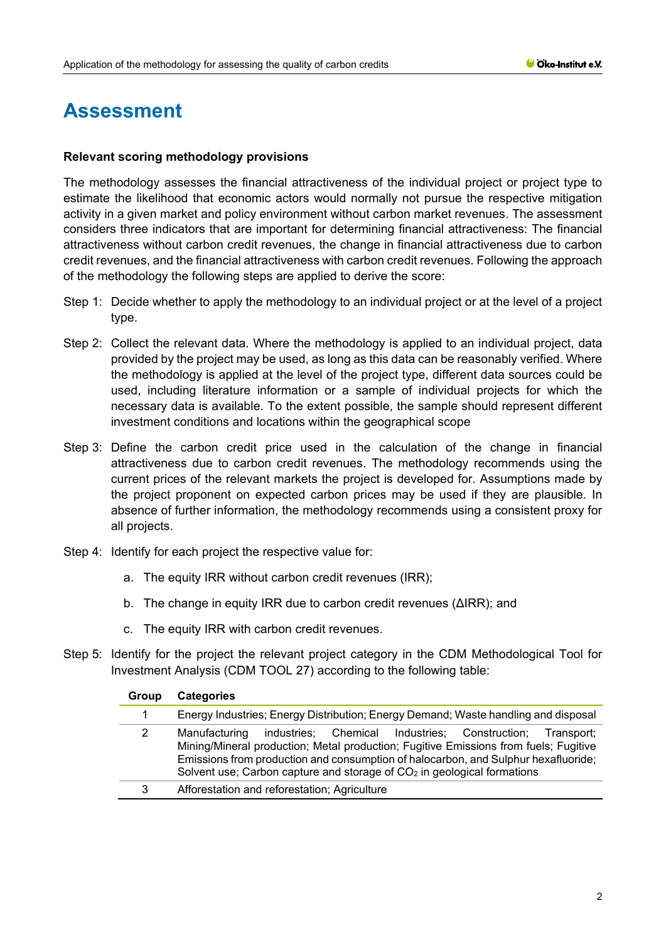# **Assessment**

#### **Relevant scoring methodology provisions**

The methodology assesses the financial attractiveness of the individual project or project type to estimate the likelihood that economic actors would normally not pursue the respective mitigation activity in a given market and policy environment without carbon market revenues. The assessment considers three indicators that are important for determining financial attractiveness: The financial attractiveness without carbon credit revenues, the change in financial attractiveness due to carbon credit revenues, and the financial attractiveness with carbon credit revenues. Following the approach of the methodology the following steps are applied to derive the score:

- Step 1: Decide whether to apply the methodology to an individual project or at the level of a project type.
- Step 2: Collect the relevant data. Where the methodology is applied to an individual project, data provided by the project may be used, as long as this data can be reasonably verified. Where the methodology is applied at the level of the project type, different data sources could be used, including literature information or a sample of individual projects for which the necessary data is available. To the extent possible, the sample should represent different investment conditions and locations within the geographical scope
- Step 3: Define the carbon credit price used in the calculation of the change in financial attractiveness due to carbon credit revenues. The methodology recommends using the current prices of the relevant markets the project is developed for. Assumptions made by the project proponent on expected carbon prices may be used if they are plausible. In absence of further information, the methodology recommends using a consistent proxy for all projects.
- Step 4: Identify for each project the respective value for:
	- a. The equity IRR without carbon credit revenues (IRR);
	- b. The change in equity IRR due to carbon credit revenues (ΔIRR); and
	- c. The equity IRR with carbon credit revenues.
- Step 5: Identify for the project the relevant project category in the CDM Methodological Tool for Investment Analysis (CDM TOOL 27) according to the following table:

| Group | <b>Categories</b>                                                                                                                                                                                                                                                                                                                               |
|-------|-------------------------------------------------------------------------------------------------------------------------------------------------------------------------------------------------------------------------------------------------------------------------------------------------------------------------------------------------|
|       | Energy Industries; Energy Distribution; Energy Demand; Waste handling and disposal                                                                                                                                                                                                                                                              |
| 2     | industries; Chemical Industries; Construction; Transport;<br>Manufacturing<br>Mining/Mineral production; Metal production; Fugitive Emissions from fuels; Fugitive<br>Emissions from production and consumption of halocarbon, and Sulphur hexafluoride;<br>Solvent use; Carbon capture and storage of CO <sub>2</sub> in geological formations |
| 3     | Afforestation and reforestation; Agriculture                                                                                                                                                                                                                                                                                                    |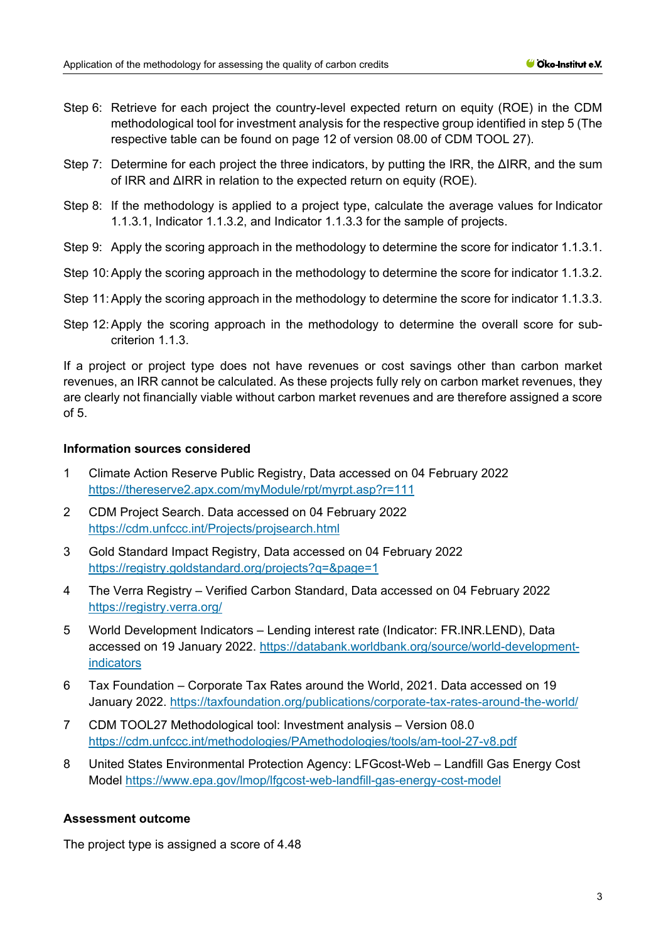- Step 6: Retrieve for each project the country-level expected return on equity (ROE) in the CDM methodological tool for investment analysis for the respective group identified in step 5 (The respective table can be found on page 12 of version 08.00 of CDM TOOL 27).
- Step 7: Determine for each project the three indicators, by putting the IRR, the ΔIRR, and the sum of IRR and ΔIRR in relation to the expected return on equity (ROE).
- Step 8: If the methodology is applied to a project type, calculate the average values for Indicator 1.1.3.1, Indicator 1.1.3.2, and Indicator 1.1.3.3 for the sample of projects.
- Step 9: Apply the scoring approach in the methodology to determine the score for indicator 1.1.3.1.
- Step 10:Apply the scoring approach in the methodology to determine the score for indicator 1.1.3.2.
- Step 11:Apply the scoring approach in the methodology to determine the score for indicator 1.1.3.3.
- Step 12:Apply the scoring approach in the methodology to determine the overall score for subcriterion 1.1.3.

If a project or project type does not have revenues or cost savings other than carbon market revenues, an IRR cannot be calculated. As these projects fully rely on carbon market revenues, they are clearly not financially viable without carbon market revenues and are therefore assigned a score of 5.

#### **Information sources considered**

- 1 Climate Action Reserve Public Registry, Data accessed on 04 February 2022 <https://thereserve2.apx.com/myModule/rpt/myrpt.asp?r=111>
- 2 CDM Project Search. Data accessed on 04 February 2022 <https://cdm.unfccc.int/Projects/projsearch.html>
- 3 Gold Standard Impact Registry, Data accessed on 04 February 2022 <https://registry.goldstandard.org/projects?q=&page=1>
- 4 The Verra Registry Verified Carbon Standard, Data accessed on 04 February 2022 <https://registry.verra.org/>
- 5 World Development Indicators Lending interest rate (Indicator: FR.INR.LEND), Data accessed on 19 January 2022. [https://databank.worldbank.org/source/world-development](https://databank.worldbank.org/source/world-development-indicators)[indicators](https://databank.worldbank.org/source/world-development-indicators)
- 6 Tax Foundation Corporate Tax Rates around the World, 2021. Data accessed on 19 January 2022.<https://taxfoundation.org/publications/corporate-tax-rates-around-the-world/>
- 7 CDM TOOL27 Methodological tool: Investment analysis Version 08.0 <https://cdm.unfccc.int/methodologies/PAmethodologies/tools/am-tool-27-v8.pdf>
- 8 United States Environmental Protection Agency: LFGcost-Web Landfill Gas Energy Cost Model <https://www.epa.gov/lmop/lfgcost-web-landfill-gas-energy-cost-model>

#### **Assessment outcome**

The project type is assigned a score of 4.48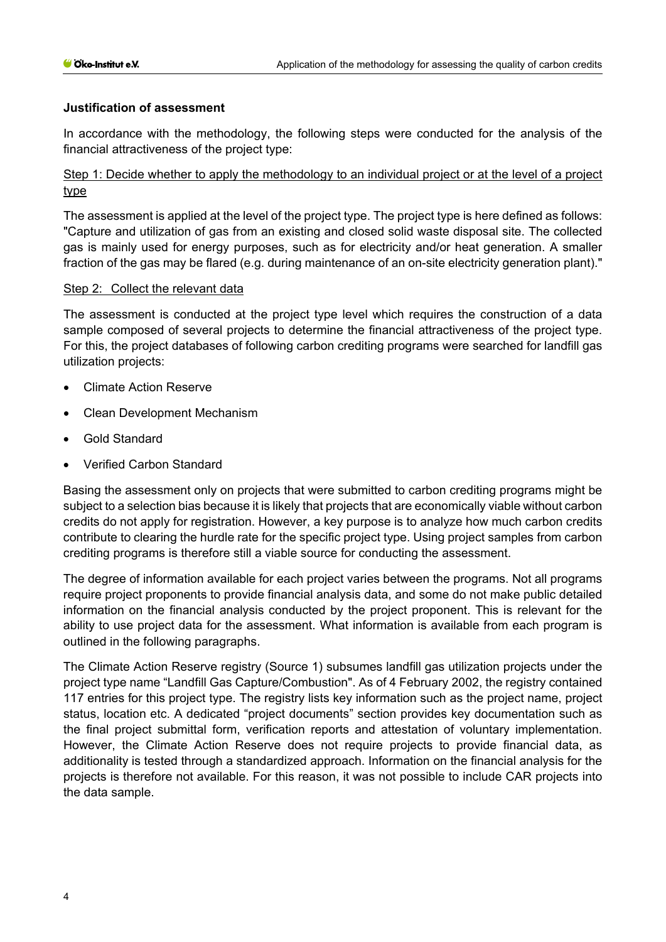#### **Justification of assessment**

In accordance with the methodology, the following steps were conducted for the analysis of the financial attractiveness of the project type:

Step 1: Decide whether to apply the methodology to an individual project or at the level of a project type

The assessment is applied at the level of the project type. The project type is here defined as follows: "Capture and utilization of gas from an existing and closed solid waste disposal site. The collected gas is mainly used for energy purposes, such as for electricity and/or heat generation. A smaller fraction of the gas may be flared (e.g. during maintenance of an on-site electricity generation plant)."

#### Step 2: Collect the relevant data

The assessment is conducted at the project type level which requires the construction of a data sample composed of several projects to determine the financial attractiveness of the project type. For this, the project databases of following carbon crediting programs were searched for landfill gas utilization projects:

- Climate Action Reserve
- Clean Development Mechanism
- Gold Standard
- Verified Carbon Standard

Basing the assessment only on projects that were submitted to carbon crediting programs might be subject to a selection bias because it is likely that projects that are economically viable without carbon credits do not apply for registration. However, a key purpose is to analyze how much carbon credits contribute to clearing the hurdle rate for the specific project type. Using project samples from carbon crediting programs is therefore still a viable source for conducting the assessment.

The degree of information available for each project varies between the programs. Not all programs require project proponents to provide financial analysis data, and some do not make public detailed information on the financial analysis conducted by the project proponent. This is relevant for the ability to use project data for the assessment. What information is available from each program is outlined in the following paragraphs.

The Climate Action Reserve registry (Source 1) subsumes landfill gas utilization projects under the project type name "Landfill Gas Capture/Combustion". As of 4 February 2002, the registry contained 117 entries for this project type. The registry lists key information such as the project name, project status, location etc. A dedicated "project documents" section provides key documentation such as the final project submittal form, verification reports and attestation of voluntary implementation. However, the Climate Action Reserve does not require projects to provide financial data, as additionality is tested through a standardized approach. Information on the financial analysis for the projects is therefore not available. For this reason, it was not possible to include CAR projects into the data sample.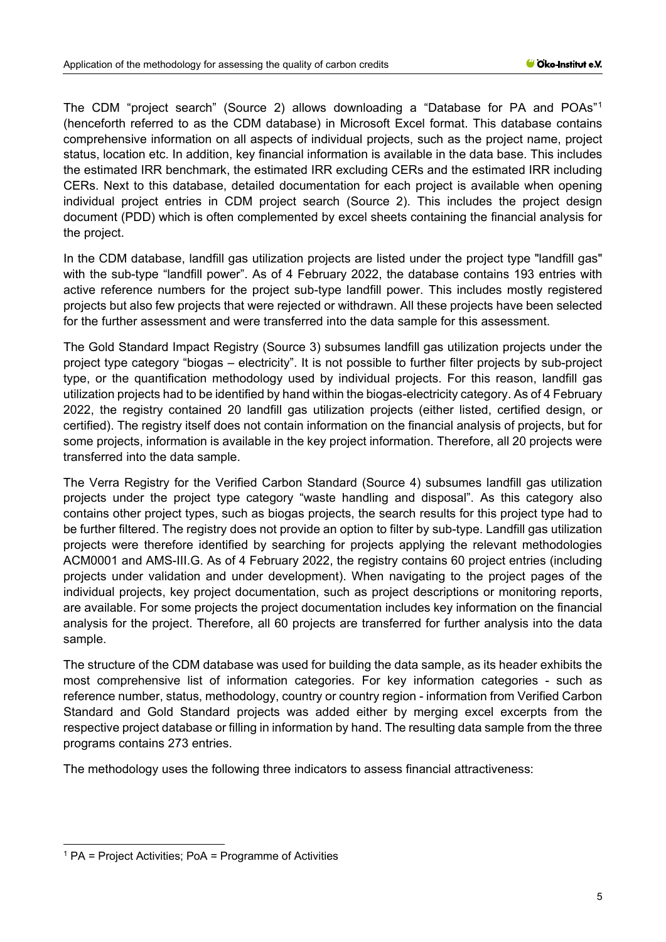The CDM "project search" (Source 2) allows downloading a "Database for PA and POAs"[1](#page-4-0) (henceforth referred to as the CDM database) in Microsoft Excel format. This database contains comprehensive information on all aspects of individual projects, such as the project name, project status, location etc. In addition, key financial information is available in the data base. This includes the estimated IRR benchmark, the estimated IRR excluding CERs and the estimated IRR including CERs. Next to this database, detailed documentation for each project is available when opening individual project entries in CDM project search (Source 2). This includes the project design document (PDD) which is often complemented by excel sheets containing the financial analysis for the project.

In the CDM database, landfill gas utilization projects are listed under the project type "landfill gas" with the sub-type "landfill power". As of 4 February 2022, the database contains 193 entries with active reference numbers for the project sub-type landfill power. This includes mostly registered projects but also few projects that were rejected or withdrawn. All these projects have been selected for the further assessment and were transferred into the data sample for this assessment.

The Gold Standard Impact Registry (Source 3) subsumes landfill gas utilization projects under the project type category "biogas – electricity". It is not possible to further filter projects by sub-project type, or the quantification methodology used by individual projects. For this reason, landfill gas utilization projects had to be identified by hand within the biogas-electricity category. As of 4 February 2022, the registry contained 20 landfill gas utilization projects (either listed, certified design, or certified). The registry itself does not contain information on the financial analysis of projects, but for some projects, information is available in the key project information. Therefore, all 20 projects were transferred into the data sample.

The Verra Registry for the Verified Carbon Standard (Source 4) subsumes landfill gas utilization projects under the project type category "waste handling and disposal". As this category also contains other project types, such as biogas projects, the search results for this project type had to be further filtered. The registry does not provide an option to filter by sub-type. Landfill gas utilization projects were therefore identified by searching for projects applying the relevant methodologies ACM0001 and AMS-III.G. As of 4 February 2022, the registry contains 60 project entries (including projects under validation and under development). When navigating to the project pages of the individual projects, key project documentation, such as project descriptions or monitoring reports, are available. For some projects the project documentation includes key information on the financial analysis for the project. Therefore, all 60 projects are transferred for further analysis into the data sample.

The structure of the CDM database was used for building the data sample, as its header exhibits the most comprehensive list of information categories. For key information categories - such as reference number, status, methodology, country or country region - information from Verified Carbon Standard and Gold Standard projects was added either by merging excel excerpts from the respective project database or filling in information by hand. The resulting data sample from the three programs contains 273 entries.

The methodology uses the following three indicators to assess financial attractiveness:

<span id="page-4-0"></span> $1$  PA = Project Activities; PoA = Programme of Activities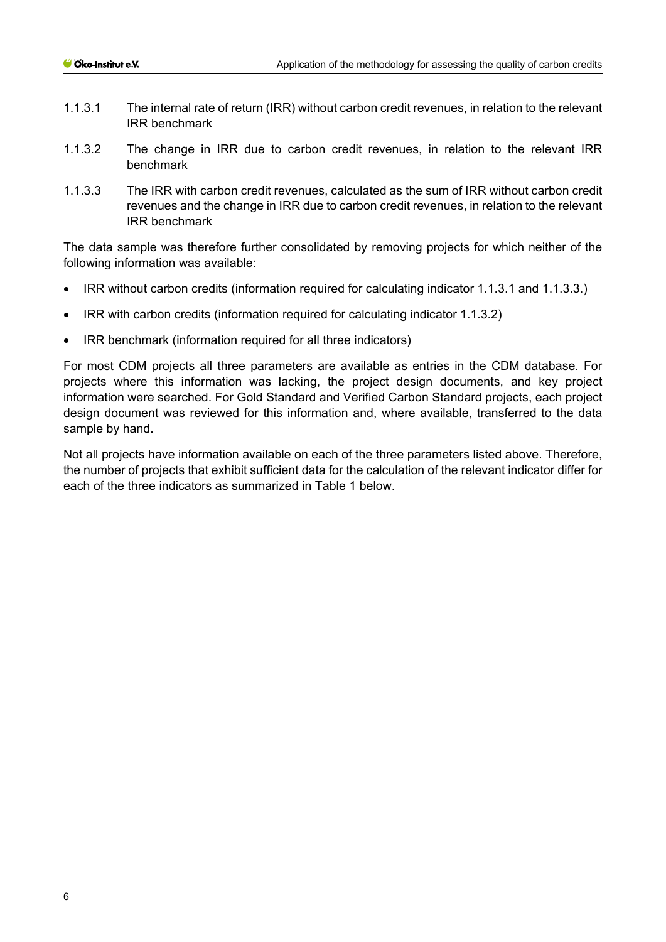- 1.1.3.1 The internal rate of return (IRR) without carbon credit revenues, in relation to the relevant IRR benchmark
- 1.1.3.2 The change in IRR due to carbon credit revenues, in relation to the relevant IRR benchmark
- 1.1.3.3 The IRR with carbon credit revenues, calculated as the sum of IRR without carbon credit revenues and the change in IRR due to carbon credit revenues, in relation to the relevant IRR benchmark

The data sample was therefore further consolidated by removing projects for which neither of the following information was available:

- IRR without carbon credits (information required for calculating indicator 1.1.3.1 and 1.1.3.3.)
- IRR with carbon credits (information required for calculating indicator 1.1.3.2)
- IRR benchmark (information required for all three indicators)

For most CDM projects all three parameters are available as entries in the CDM database. For projects where this information was lacking, the project design documents, and key project information were searched. For Gold Standard and Verified Carbon Standard projects, each project design document was reviewed for this information and, where available, transferred to the data sample by hand.

Not all projects have information available on each of the three parameters listed above. Therefore, the number of projects that exhibit sufficient data for the calculation of the relevant indicator differ for each of the three indicators as summarized in [Table 1](#page-6-0) below.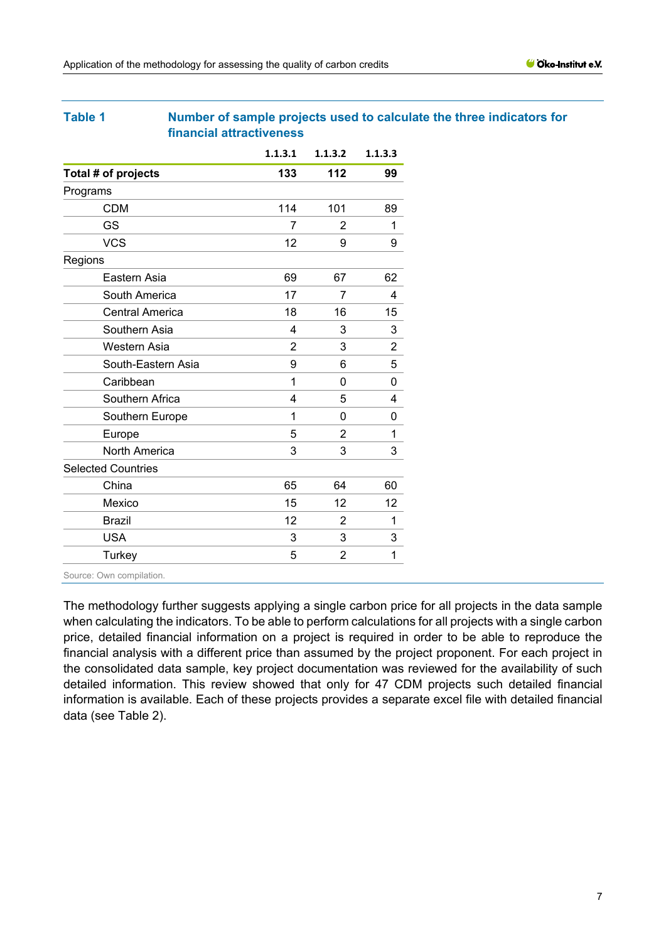#### <span id="page-6-0"></span>**Table 1 Number of sample projects used to calculate the three indicators for financial attractiveness**

|                           | 1.1.3.1 | 1.1.3.2 | 1.1.3.3 |
|---------------------------|---------|---------|---------|
| Total # of projects       | 133     | 112     | 99      |
| Programs                  |         |         |         |
| <b>CDM</b>                | 114     | 101     | 89      |
| <b>GS</b>                 | 7       | 2       | 1       |
| <b>VCS</b>                | 12      | 9       | 9       |
| Regions                   |         |         |         |
| Eastern Asia              | 69      | 67      | 62      |
| South America             | 17      | 7       | 4       |
| <b>Central America</b>    | 18      | 16      | 15      |
| Southern Asia             | 4       | 3       | 3       |
| Western Asia              | 2       | 3       | 2       |
| South-Eastern Asia        | 9       | 6       | 5       |
| Caribbean                 | 1       | 0       | 0       |
| Southern Africa           | 4       | 5       | 4       |
| Southern Europe           | 1       | 0       | 0       |
| Europe                    | 5       | 2       | 1       |
| <b>North America</b>      | 3       | 3       | 3       |
| <b>Selected Countries</b> |         |         |         |
| China                     | 65      | 64      | 60      |
| Mexico                    | 15      | 12      | 12      |
| <b>Brazil</b>             | 12      | 2       | 1       |
| <b>USA</b>                | 3       | 3       | 3       |
| Turkey                    | 5       | 2       | 1       |
|                           |         |         |         |

Source: Own compilation.

The methodology further suggests applying a single carbon price for all projects in the data sample when calculating the indicators. To be able to perform calculations for all projects with a single carbon price, detailed financial information on a project is required in order to be able to reproduce the financial analysis with a different price than assumed by the project proponent. For each project in the consolidated data sample, key project documentation was reviewed for the availability of such detailed information. This review showed that only for 47 CDM projects such detailed financial information is available. Each of these projects provides a separate excel file with detailed financial data (see Table 2).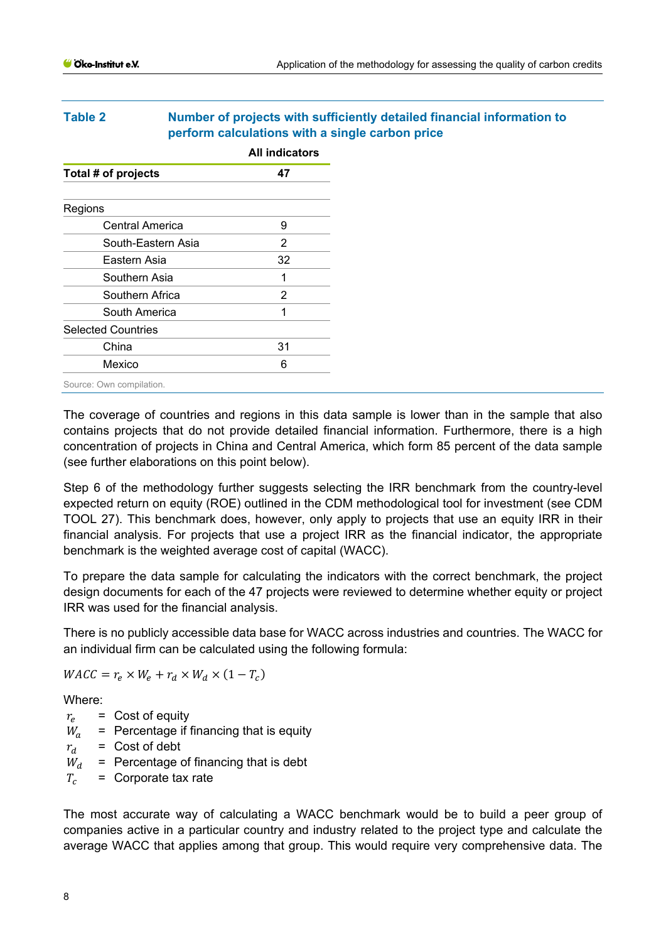## <span id="page-7-0"></span>**Table 2 Number of projects with sufficiently detailed financial information to perform calculations with a single carbon price**

|                           | <b>All indicators</b> |
|---------------------------|-----------------------|
| Total # of projects       | 47                    |
|                           |                       |
| Regions                   |                       |
| Central America           | 9                     |
| South-Eastern Asia        | 2                     |
| Eastern Asia              | 32                    |
| Southern Asia             | 1                     |
| Southern Africa           | 2                     |
| South America             | 1                     |
| <b>Selected Countries</b> |                       |
| China                     | 31                    |
| Mexico                    | 6                     |
| Source: Own compilation.  |                       |

The coverage of countries and regions in this data sample is lower than in the sample that also contains projects that do not provide detailed financial information. Furthermore, there is a high concentration of projects in China and Central America, which form 85 percent of the data sample (see further elaborations on this point below).

Step 6 of the methodology further suggests selecting the IRR benchmark from the country-level expected return on equity (ROE) outlined in the CDM methodological tool for investment (see CDM TOOL 27). This benchmark does, however, only apply to projects that use an equity IRR in their financial analysis. For projects that use a project IRR as the financial indicator, the appropriate benchmark is the weighted average cost of capital (WACC).

To prepare the data sample for calculating the indicators with the correct benchmark, the project design documents for each of the 47 projects were reviewed to determine whether equity or project IRR was used for the financial analysis.

There is no publicly accessible data base for WACC across industries and countries. The WACC for an individual firm can be calculated using the following formula:

 $WACC = r_e \times W_e + r_d \times W_d \times (1 - T_c)$ 

Where:

 $r_e$  = Cost of equity

- $W_a$  = Percentage if financing that is equity
- $r_d$  = Cost of debt
- $W_d$  = Percentage of financing that is debt<br> $T_c$  = Corporate tax rate
- = Corporate tax rate

The most accurate way of calculating a WACC benchmark would be to build a peer group of companies active in a particular country and industry related to the project type and calculate the average WACC that applies among that group. This would require very comprehensive data. The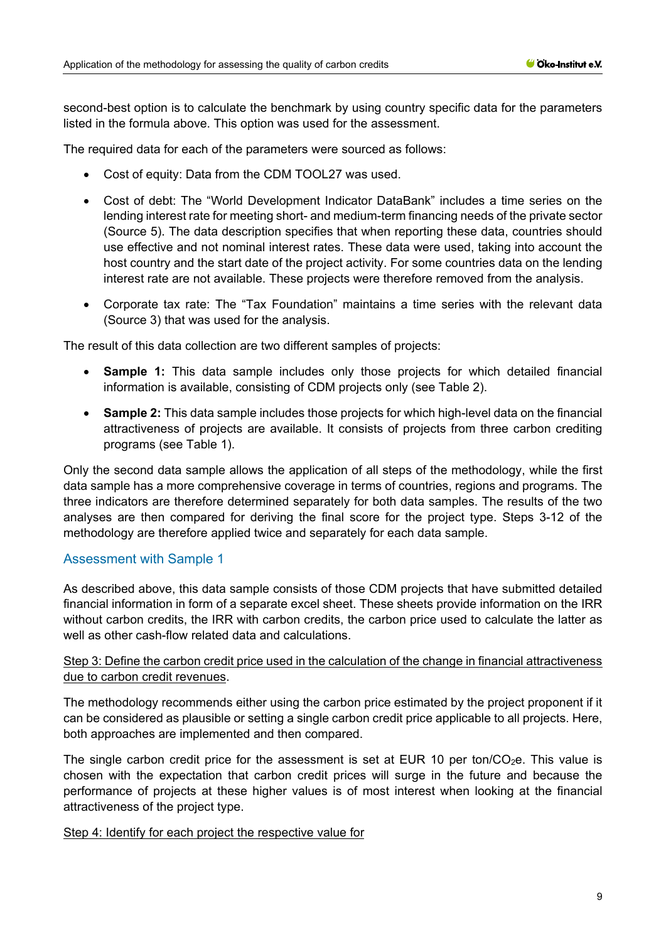second-best option is to calculate the benchmark by using country specific data for the parameters listed in the formula above. This option was used for the assessment.

The required data for each of the parameters were sourced as follows:

- Cost of equity: Data from the CDM TOOL27 was used.
- Cost of debt: The "World Development Indicator DataBank" includes a time series on the lending interest rate for meeting short- and medium-term financing needs of the private sector (Source 5). The data description specifies that when reporting these data, countries should use effective and not nominal interest rates. These data were used, taking into account the host country and the start date of the project activity. For some countries data on the lending interest rate are not available. These projects were therefore removed from the analysis.
- Corporate tax rate: The "Tax Foundation" maintains a time series with the relevant data (Source 3) that was used for the analysis.

The result of this data collection are two different samples of projects:

- **Sample 1:** This data sample includes only those projects for which detailed financial information is available, consisting of CDM projects only (see [Table 2\)](#page-7-0).
- **Sample 2:** This data sample includes those projects for which high-level data on the financial attractiveness of projects are available. It consists of projects from three carbon crediting programs (see [Table 1\)](#page-6-0).

Only the second data sample allows the application of all steps of the methodology, while the first data sample has a more comprehensive coverage in terms of countries, regions and programs. The three indicators are therefore determined separately for both data samples. The results of the two analyses are then compared for deriving the final score for the project type. Steps 3-12 of the methodology are therefore applied twice and separately for each data sample.

#### Assessment with Sample 1

As described above, this data sample consists of those CDM projects that have submitted detailed financial information in form of a separate excel sheet. These sheets provide information on the IRR without carbon credits, the IRR with carbon credits, the carbon price used to calculate the latter as well as other cash-flow related data and calculations.

### Step 3: Define the carbon credit price used in the calculation of the change in financial attractiveness due to carbon credit revenues.

The methodology recommends either using the carbon price estimated by the project proponent if it can be considered as plausible or setting a single carbon credit price applicable to all projects. Here, both approaches are implemented and then compared.

The single carbon credit price for the assessment is set at EUR 10 per ton/ $CO<sub>2</sub>e$ . This value is chosen with the expectation that carbon credit prices will surge in the future and because the performance of projects at these higher values is of most interest when looking at the financial attractiveness of the project type.

#### Step 4: Identify for each project the respective value for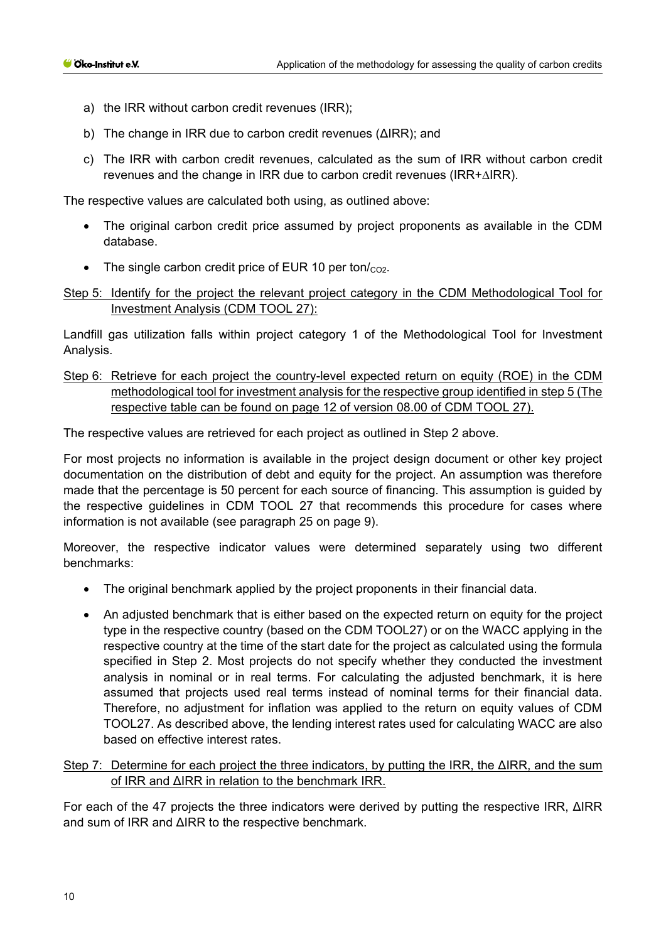- a) the IRR without carbon credit revenues (IRR);
- b) The change in IRR due to carbon credit revenues (ΔIRR); and
- c) The IRR with carbon credit revenues, calculated as the sum of IRR without carbon credit revenues and the change in IRR due to carbon credit revenues (IRR+∆IRR).

The respective values are calculated both using, as outlined above:

- The original carbon credit price assumed by project proponents as available in the CDM database.
- The single carbon credit price of EUR 10 per ton/ $_{CO2}$ .

### Step 5: Identify for the project the relevant project category in the CDM Methodological Tool for Investment Analysis (CDM TOOL 27):

Landfill gas utilization falls within project category 1 of the Methodological Tool for Investment Analysis.

### Step 6: Retrieve for each project the country-level expected return on equity (ROE) in the CDM methodological tool for investment analysis for the respective group identified in step 5 (The respective table can be found on page 12 of version 08.00 of CDM TOOL 27).

The respective values are retrieved for each project as outlined in Step 2 above.

For most projects no information is available in the project design document or other key project documentation on the distribution of debt and equity for the project. An assumption was therefore made that the percentage is 50 percent for each source of financing. This assumption is guided by the respective guidelines in CDM TOOL 27 that recommends this procedure for cases where information is not available (see paragraph 25 on page 9).

Moreover, the respective indicator values were determined separately using two different benchmarks:

- The original benchmark applied by the project proponents in their financial data.
- An adjusted benchmark that is either based on the expected return on equity for the project type in the respective country (based on the CDM TOOL27) or on the WACC applying in the respective country at the time of the start date for the project as calculated using the formula specified in Step 2. Most projects do not specify whether they conducted the investment analysis in nominal or in real terms. For calculating the adjusted benchmark, it is here assumed that projects used real terms instead of nominal terms for their financial data. Therefore, no adjustment for inflation was applied to the return on equity values of CDM TOOL27. As described above, the lending interest rates used for calculating WACC are also based on effective interest rates.

#### Step 7: Determine for each project the three indicators, by putting the IRR, the ΔIRR, and the sum of IRR and ΔIRR in relation to the benchmark IRR.

For each of the 47 projects the three indicators were derived by putting the respective IRR, ΔIRR and sum of IRR and ΔIRR to the respective benchmark.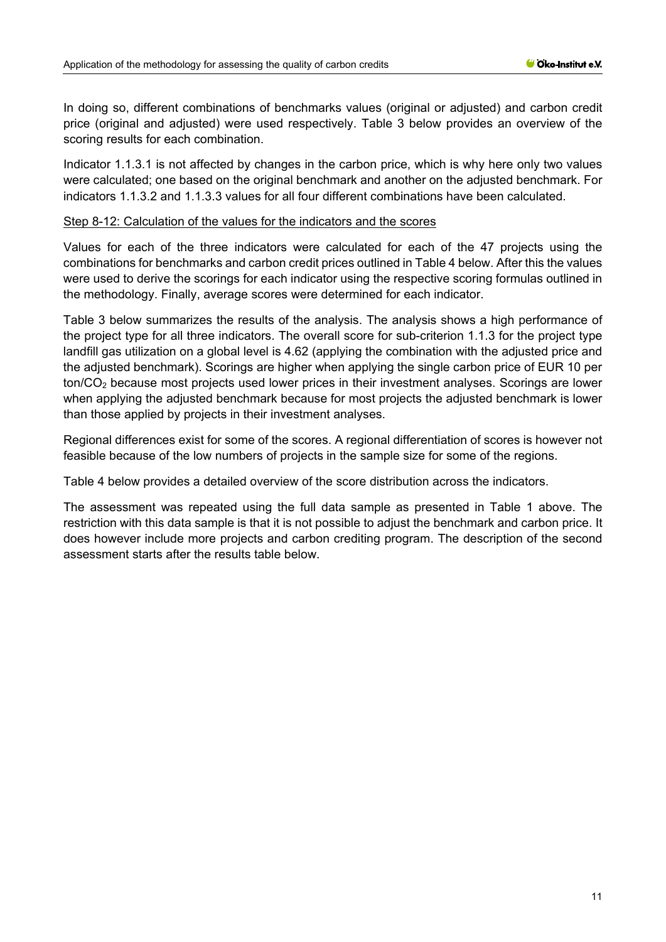In doing so, different combinations of benchmarks values (original or adjusted) and carbon credit price (original and adjusted) were used respectively. [Table 3](#page-11-0) below provides an overview of the scoring results for each combination.

Indicator 1.1.3.1 is not affected by changes in the carbon price, which is why here only two values were calculated; one based on the original benchmark and another on the adjusted benchmark. For indicators 1.1.3.2 and 1.1.3.3 values for all four different combinations have been calculated.

#### Step 8-12: Calculation of the values for the indicators and the scores

Values for each of the three indicators were calculated for each of the 47 projects using the combinations for benchmarks and carbon credit prices outlined in [Table 4](#page-11-0) below. After this the values were used to derive the scorings for each indicator using the respective scoring formulas outlined in the methodology. Finally, average scores were determined for each indicator.

[Table 3](#page-11-0) below summarizes the results of the analysis. The analysis shows a high performance of the project type for all three indicators. The overall score for sub-criterion 1.1.3 for the project type landfill gas utilization on a global level is 4.62 (applying the combination with the adjusted price and the adjusted benchmark). Scorings are higher when applying the single carbon price of EUR 10 per ton/CO2 because most projects used lower prices in their investment analyses. Scorings are lower when applying the adjusted benchmark because for most projects the adjusted benchmark is lower than those applied by projects in their investment analyses.

Regional differences exist for some of the scores. A regional differentiation of scores is however not feasible because of the low numbers of projects in the sample size for some of the regions.

[Table 4](#page-11-0) below provides a detailed overview of the score distribution across the indicators.

The assessment was repeated using the full data sample as presented in [Table 1](#page-6-0) above. The restriction with this data sample is that it is not possible to adjust the benchmark and carbon price. It does however include more projects and carbon crediting program. The description of the second assessment starts after the results table below.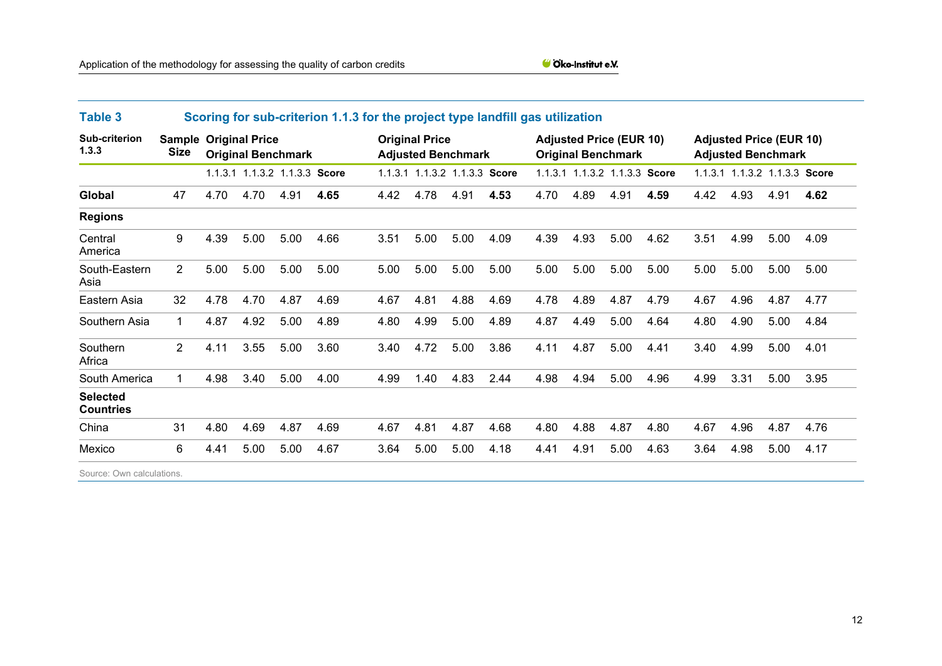| <b>Table 3</b>                      | Scoring for sub-criterion 1.1.3 for the project type landfill gas utilization |                                                           |                               |      |      |                                                    |      |                               |                                                             |      |                               |                                                             |      |      |                               |      |      |
|-------------------------------------|-------------------------------------------------------------------------------|-----------------------------------------------------------|-------------------------------|------|------|----------------------------------------------------|------|-------------------------------|-------------------------------------------------------------|------|-------------------------------|-------------------------------------------------------------|------|------|-------------------------------|------|------|
| Sub-criterion<br>1.3.3              | <b>Size</b>                                                                   | <b>Sample Original Price</b><br><b>Original Benchmark</b> |                               |      |      | <b>Original Price</b><br><b>Adjusted Benchmark</b> |      |                               | <b>Adjusted Price (EUR 10)</b><br><b>Original Benchmark</b> |      |                               | <b>Adjusted Price (EUR 10)</b><br><b>Adjusted Benchmark</b> |      |      |                               |      |      |
|                                     |                                                                               |                                                           | 1.1.3.1 1.1.3.2 1.1.3.3 Score |      |      |                                                    |      | 1.1.3.1 1.1.3.2 1.1.3.3 Score |                                                             |      | 1.1.3.1 1.1.3.2 1.1.3.3 Score |                                                             |      |      | 1.1.3.1 1.1.3.2 1.1.3.3 Score |      |      |
| Global                              | 47                                                                            | 4.70                                                      | 4.70                          | 4.91 | 4.65 | 4.42                                               | 4.78 | 4.91                          | 4.53                                                        | 4.70 | 4.89                          | 4.91                                                        | 4.59 | 4.42 | 4.93                          | 4.91 | 4.62 |
| <b>Regions</b>                      |                                                                               |                                                           |                               |      |      |                                                    |      |                               |                                                             |      |                               |                                                             |      |      |                               |      |      |
| Central<br>America                  | 9                                                                             | 4.39                                                      | 5.00                          | 5.00 | 4.66 | 3.51                                               | 5.00 | 5.00                          | 4.09                                                        | 4.39 | 4.93                          | 5.00                                                        | 4.62 | 3.51 | 4.99                          | 5.00 | 4.09 |
| South-Eastern<br>Asia               | $\overline{2}$                                                                | 5.00                                                      | 5.00                          | 5.00 | 5.00 | 5.00                                               | 5.00 | 5.00                          | 5.00                                                        | 5.00 | 5.00                          | 5.00                                                        | 5.00 | 5.00 | 5.00                          | 5.00 | 5.00 |
| Eastern Asia                        | 32                                                                            | 4.78                                                      | 4.70                          | 4.87 | 4.69 | 4.67                                               | 4.81 | 4.88                          | 4.69                                                        | 4.78 | 4.89                          | 4.87                                                        | 4.79 | 4.67 | 4.96                          | 4.87 | 4.77 |
| Southern Asia                       | 1                                                                             | 4.87                                                      | 4.92                          | 5.00 | 4.89 | 4.80                                               | 4.99 | 5.00                          | 4.89                                                        | 4.87 | 4.49                          | 5.00                                                        | 4.64 | 4.80 | 4.90                          | 5.00 | 4.84 |
| Southern<br>Africa                  | $\overline{2}$                                                                | 4.11                                                      | 3.55                          | 5.00 | 3.60 | 3.40                                               | 4.72 | 5.00                          | 3.86                                                        | 4.11 | 4.87                          | 5.00                                                        | 4.41 | 3.40 | 4.99                          | 5.00 | 4.01 |
| South America                       | 1                                                                             | 4.98                                                      | 3.40                          | 5.00 | 4.00 | 4.99                                               | 1.40 | 4.83                          | 2.44                                                        | 4.98 | 4.94                          | 5.00                                                        | 4.96 | 4.99 | 3.31                          | 5.00 | 3.95 |
| <b>Selected</b><br><b>Countries</b> |                                                                               |                                                           |                               |      |      |                                                    |      |                               |                                                             |      |                               |                                                             |      |      |                               |      |      |
| China                               | 31                                                                            | 4.80                                                      | 4.69                          | 4.87 | 4.69 | 4.67                                               | 4.81 | 4.87                          | 4.68                                                        | 4.80 | 4.88                          | 4.87                                                        | 4.80 | 4.67 | 4.96                          | 4.87 | 4.76 |
| Mexico                              | 6                                                                             | 4.41                                                      | 5.00                          | 5.00 | 4.67 | 3.64                                               | 5.00 | 5.00                          | 4.18                                                        | 4.41 | 4.91                          | 5.00                                                        | 4.63 | 3.64 | 4.98                          | 5.00 | 4.17 |
|                                     |                                                                               |                                                           |                               |      |      |                                                    |      |                               |                                                             |      |                               |                                                             |      |      |                               |      |      |

<span id="page-11-0"></span>Source: Own calculations.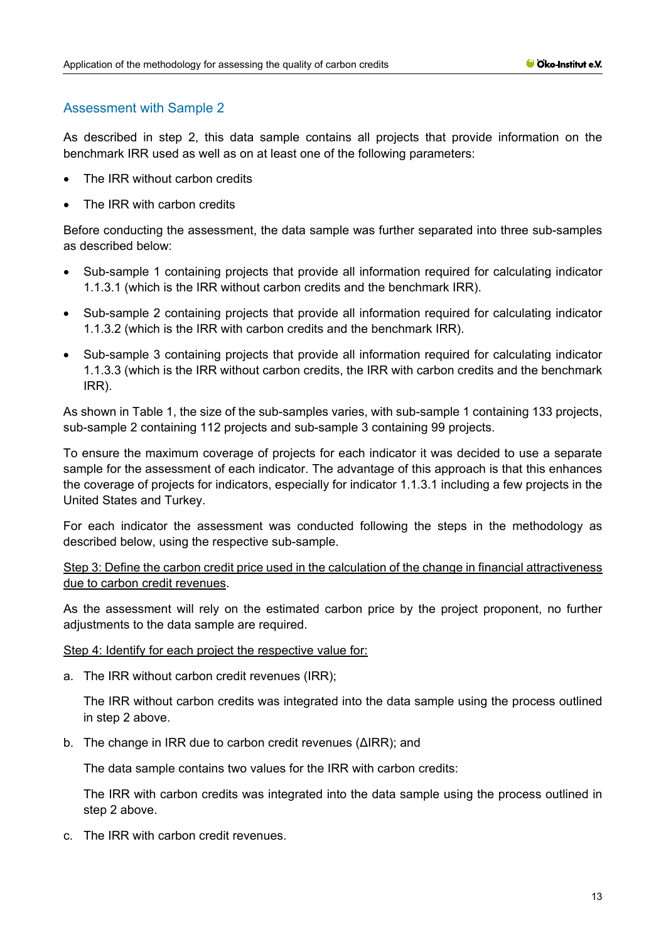### Assessment with Sample 2

As described in step 2, this data sample contains all projects that provide information on the benchmark IRR used as well as on at least one of the following parameters:

- The IRR without carbon credits
- The IRR with carbon credits

Before conducting the assessment, the data sample was further separated into three sub-samples as described below:

- Sub-sample 1 containing projects that provide all information required for calculating indicator 1.1.3.1 (which is the IRR without carbon credits and the benchmark IRR).
- Sub-sample 2 containing projects that provide all information required for calculating indicator 1.1.3.2 (which is the IRR with carbon credits and the benchmark IRR).
- Sub-sample 3 containing projects that provide all information required for calculating indicator 1.1.3.3 (which is the IRR without carbon credits, the IRR with carbon credits and the benchmark IRR).

As shown in [Table 1,](#page-6-0) the size of the sub-samples varies, with sub-sample 1 containing 133 projects, sub-sample 2 containing 112 projects and sub-sample 3 containing 99 projects.

To ensure the maximum coverage of projects for each indicator it was decided to use a separate sample for the assessment of each indicator. The advantage of this approach is that this enhances the coverage of projects for indicators, especially for indicator 1.1.3.1 including a few projects in the United States and Turkey.

For each indicator the assessment was conducted following the steps in the methodology as described below, using the respective sub-sample.

Step 3: Define the carbon credit price used in the calculation of the change in financial attractiveness due to carbon credit revenues.

As the assessment will rely on the estimated carbon price by the project proponent, no further adjustments to the data sample are required.

Step 4: Identify for each project the respective value for:

a. The IRR without carbon credit revenues (IRR);

The IRR without carbon credits was integrated into the data sample using the process outlined in step 2 above.

b. The change in IRR due to carbon credit revenues (ΔIRR); and

The data sample contains two values for the IRR with carbon credits:

The IRR with carbon credits was integrated into the data sample using the process outlined in step 2 above.

c. The IRR with carbon credit revenues.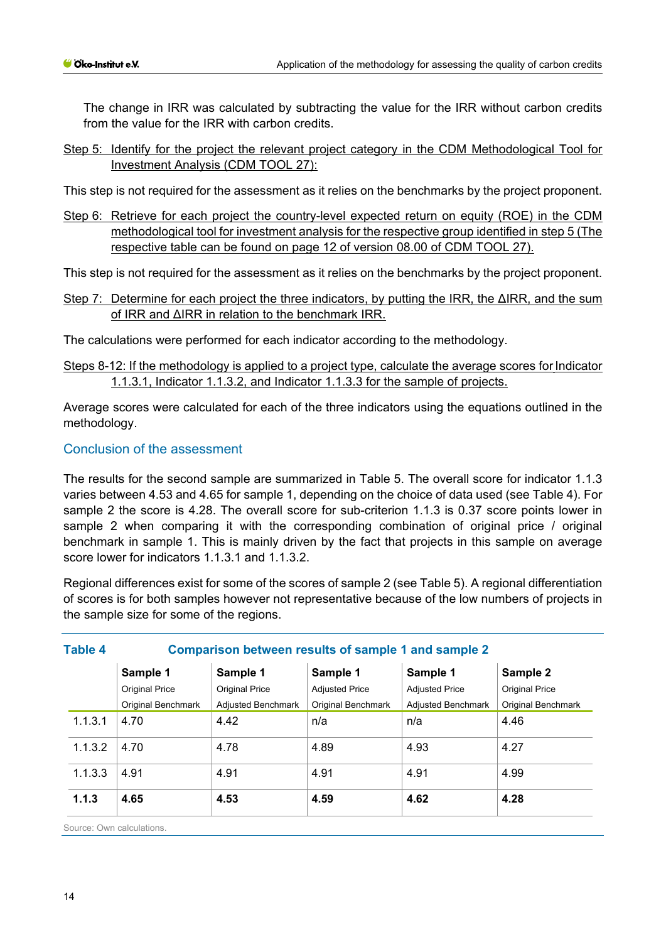The change in IRR was calculated by subtracting the value for the IRR without carbon credits from the value for the IRR with carbon credits.

Step 5: Identify for the project the relevant project category in the CDM Methodological Tool for Investment Analysis (CDM TOOL 27):

This step is not required for the assessment as it relies on the benchmarks by the project proponent.

Step 6: Retrieve for each project the country-level expected return on equity (ROE) in the CDM methodological tool for investment analysis for the respective group identified in step 5 (The respective table can be found on page 12 of version 08.00 of CDM TOOL 27).

This step is not required for the assessment as it relies on the benchmarks by the project proponent.

Step 7: Determine for each project the three indicators, by putting the IRR, the ΔIRR, and the sum of IRR and ΔIRR in relation to the benchmark IRR.

The calculations were performed for each indicator according to the methodology.

Steps 8-12: If the methodology is applied to a project type, calculate the average scores for Indicator 1.1.3.1, Indicator 1.1.3.2, and Indicator 1.1.3.3 for the sample of projects.

Average scores were calculated for each of the three indicators using the equations outlined in the methodology.

#### Conclusion of the assessment

The results for the second sample are summarized in [Table 5.](#page-14-0) The overall score for indicator 1.1.3 varies between 4.53 and 4.65 for sample 1, depending on the choice of data used (see [Table 4\)](#page-13-0). For sample 2 the score is 4.28. The overall score for sub-criterion 1.1.3 is 0.37 score points lower in sample 2 when comparing it with the corresponding combination of original price / original benchmark in sample 1. This is mainly driven by the fact that projects in this sample on average score lower for indicators 1.1.3.1 and 1.1.3.2.

Regional differences exist for some of the scores of sample 2 (se[e Table 5\)](#page-14-0). A regional differentiation of scores is for both samples however not representative because of the low numbers of projects in the sample size for some of the regions.

<span id="page-13-0"></span>

| <b>Table 4</b> |                           |                           |                           | Comparison between results of sample 1 and sample 2 |                           |  |  |  |  |
|----------------|---------------------------|---------------------------|---------------------------|-----------------------------------------------------|---------------------------|--|--|--|--|
|                | Sample 1                  | Sample 1                  | Sample 1                  | Sample 1                                            | Sample 2                  |  |  |  |  |
|                | <b>Original Price</b>     | <b>Original Price</b>     | <b>Adjusted Price</b>     | <b>Adjusted Price</b>                               | <b>Original Price</b>     |  |  |  |  |
|                | <b>Original Benchmark</b> | <b>Adiusted Benchmark</b> | <b>Original Benchmark</b> | <b>Adjusted Benchmark</b>                           | <b>Original Benchmark</b> |  |  |  |  |
| 1.1.3.1        | 4.70                      | 4.42                      | n/a                       | n/a                                                 | 4.46                      |  |  |  |  |
| 1.1.3.2        | 4.70                      | 4.78                      | 4.89                      | 4.93                                                | 4.27                      |  |  |  |  |
| 1.1.3.3        | 4.91                      | 4.91                      | 4.91                      | 4.91                                                | 4.99                      |  |  |  |  |
| 1.1.3          | 4.65                      | 4.53                      | 4.59                      | 4.62                                                | 4.28                      |  |  |  |  |

Source: Own calculations.